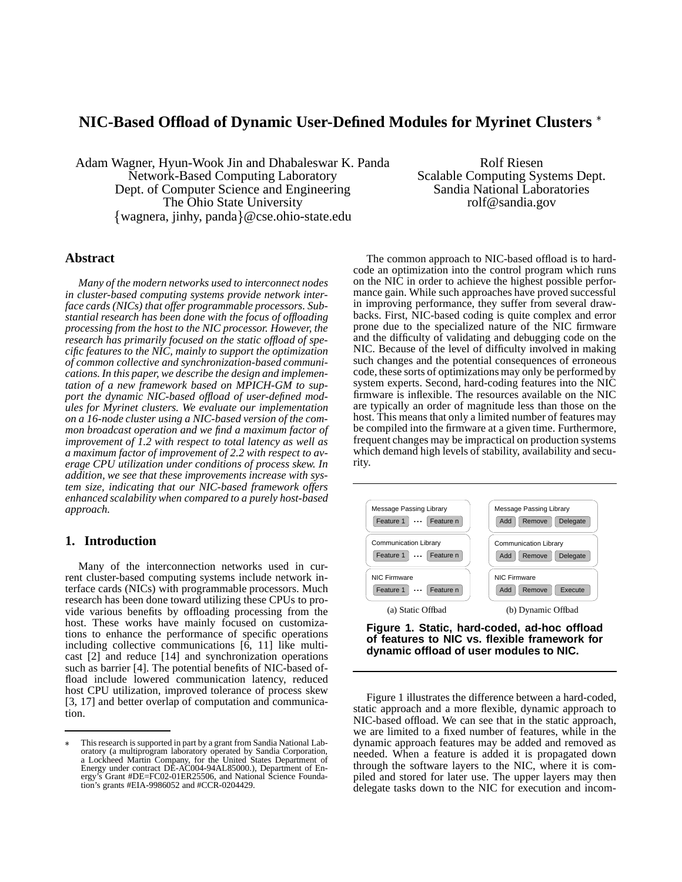# **NIC-Based Offload of Dynamic User-Defined Modules for Myrinet Clusters**

Adam Wagner, Hyun-Wook Jin and Dhabaleswar K. Panda Network-Based Computing Laboratory Dept. of Computer Science and Engineering The Ohio State University {wagnera, jinhy, panda}@cse.ohio-state.edu

Rolf Riesen Scalable Computing Systems Dept. Sandia National Laboratories rolf@sandia.gov

# **Abstract**

*Many of the modern networks used to interconnect nodes in cluster-based computing systems provide network interface cards (NICs) that offer programmable processors. Substantial research has been done with the focus of offloading processing from the host to the NIC processor. However, the research has primarily focused on the static offload of specific features to the NIC, mainly to support the optimization of common collective and synchronization-based communications. In this paper, we describe the design and implementation of a new framework based on MPICH-GM to support the dynamic NIC-based offload of user-defined modules for Myrinet clusters. We evaluate our implementation on a 16-node cluster using a NIC-based version of the common broadcast operation and we find a maximum factor of improvement of 1.2 with respect to total latency as well as a maximum factor of improvement of 2.2 with respect to average CPU utilization under conditions of process skew. In addition, we see that these improvements increase with system size, indicating that our NIC-based framework offers enhanced scalability when compared to a purely host-based approach.*

# **1. Introduction**

Many of the interconnection networks used in current cluster-based computing systems include network interface cards (NICs) with programmable processors. Much research has been done toward utilizing these CPUs to provide various benefits by offloading processing from the host. These works have mainly focused on customizations to enhance the performance of specific operations including collective communications [6, 11] like multicast [2] and reduce [14] and synchronization operations such as barrier [4]. The potential benefits of NIC-based offload include lowered communication latency, reduced host CPU utilization, improved tolerance of process skew [3, 17] and better overlap of computation and communication.

The common approach to NIC-based offload is to hardcode an optimization into the control program which runs on the NIC in order to achieve the highest possible performance gain. While such approaches have proved successful in improving performance, they suffer from several drawbacks. First, NIC-based coding is quite complex and error prone due to the specialized nature of the NIC firmware and the difficulty of validating and debugging code on the NIC. Because of the level of difficulty involved in making such changes and the potential consequences of erroneous code, these sorts of optimizations may only be performed by system experts. Second, hard-coding features into the NIC firmware is inflexible. The resources available on the NIC are typically an order of magnitude less than those on the host. This means that only a limited number of features may be compiled into the firmware at a given time. Furthermore, frequent changes may be impractical on production systems which demand high levels of stability, availability and security.



**Figure 1. Static, hard-coded, ad-hoc offload of features to NIC vs. flexible framework for dynamic offload of user modules to NIC.**

Figure 1 illustrates the difference between a hard-coded, static approach and a more flexible, dynamic approach to NIC-based offload. We can see that in the static approach, we are limited to a fixed number of features, while in the dynamic approach features may be added and removed as needed. When a feature is added it is propagated down through the software layers to the NIC, where it is compiled and stored for later use. The upper layers may then delegate tasks down to the NIC for execution and incom-

This research is supported in part by a grant from Sandia National Laboratory (a multiprogram laboratory operated by Sandia Corporation, a Lockheed Martin Company, for the United States Department of Energy under contract DE-AC004-94AL85000.), Department of Energy's Grant #DE=FC02-01ER25506, and National Science Foundation's grants #EIA-9986052 and #CCR-0204429.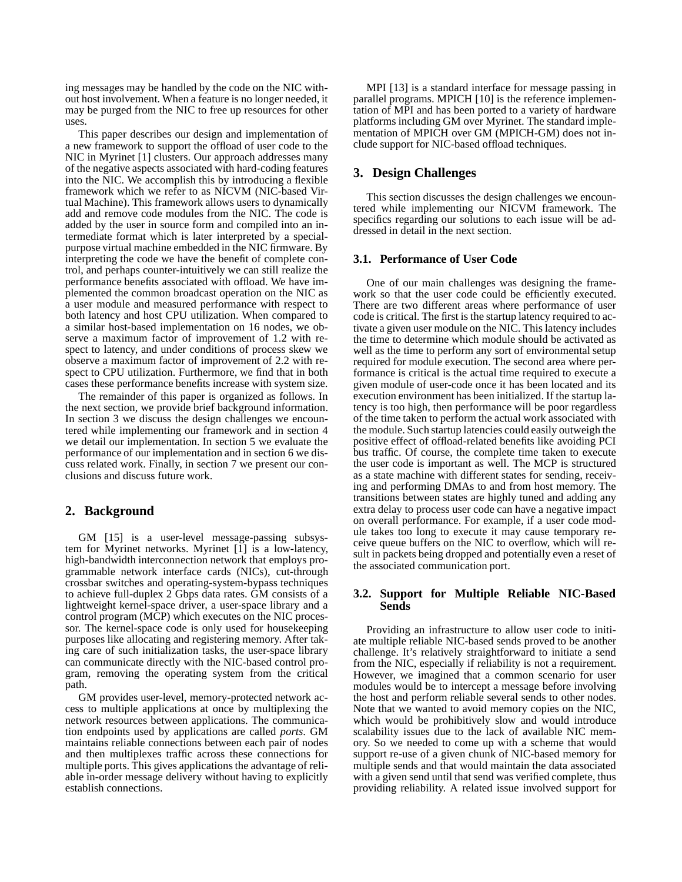ing messages may be handled by the code on the NIC without host involvement. When a feature is no longer needed, it may be purged from the NIC to free up resources for other uses.

This paper describes our design and implementation of a new framework to support the offload of user code to the NIC in Myrinet [1] clusters. Our approach addresses many of the negative aspects associated with hard-coding features into the NIC. We accomplish this by introducing a flexible framework which we refer to as NICVM (NIC-based Virtual Machine). This framework allows users to dynamically add and remove code modules from the NIC. The code is added by the user in source form and compiled into an intermediate format which is later interpreted by a specialpurpose virtual machine embedded in the NIC firmware. By interpreting the code we have the benefit of complete control, and perhaps counter-intuitively we can still realize the performance benefits associated with offload. We have implemented the common broadcast operation on the NIC as a user module and measured performance with respect to both latency and host CPU utilization. When compared to a similar host-based implementation on 16 nodes, we observe a maximum factor of improvement of 1.2 with respect to latency, and under conditions of process skew we observe a maximum factor of improvement of 2.2 with respect to CPU utilization. Furthermore, we find that in both cases these performance benefits increase with system size.

The remainder of this paper is organized as follows. In the next section, we provide brief background information. In section 3 we discuss the design challenges we encountered while implementing our framework and in section 4 we detail our implementation. In section 5 we evaluate the performance of our implementation and in section 6 we discuss related work. Finally, in section 7 we present our conclusions and discuss future work.

# **2. Background**

GM [15] is a user-level message-passing subsystem for Myrinet networks. Myrinet [1] is a low-latency, high-bandwidth interconnection network that employs programmable network interface cards (NICs), cut-through crossbar switches and operating-system-bypass techniques to achieve full-duplex 2 Gbps data rates. GM consists of a lightweight kernel-space driver, a user-space library and a control program (MCP) which executes on the NIC processor. The kernel-space code is only used for housekeeping purposes like allocating and registering memory. After taking care of such initialization tasks, the user-space library can communicate directly with the NIC-based control program, removing the operating system from the critical path.

GM provides user-level, memory-protected network access to multiple applications at once by multiplexing the network resources between applications. The communication endpoints used by applications are called *ports*. GM maintains reliable connections between each pair of nodes and then multiplexes traffic across these connections for multiple ports. This gives applications the advantage of reliable in-order message delivery without having to explicitly establish connections.

MPI [13] is a standard interface for message passing in parallel programs. MPICH [10] is the reference implementation of MPI and has been ported to a variety of hardware platforms including GM over Myrinet. The standard implementation of MPICH over GM (MPICH-GM) does not include support for NIC-based offload techniques.

# **3. Design Challenges**

This section discusses the design challenges we encountered while implementing our NICVM framework. The specifics regarding our solutions to each issue will be addressed in detail in the next section.

#### **3.1. Performance of User Code**

One of our main challenges was designing the framework so that the user code could be efficiently executed. There are two different areas where performance of user code is critical. The first is the startup latency required to activate a given user module on the NIC. This latency includes the time to determine which module should be activated as well as the time to perform any sort of environmental setup required for module execution. The second area where performance is critical is the actual time required to execute a given module of user-code once it has been located and its execution environment has been initialized. If the startup latency is too high, then performance will be poor regardless of the time taken to perform the actual work associated with the module. Such startup latencies could easily outweigh the positive effect of offload-related benefits like avoiding PCI bus traffic. Of course, the complete time taken to execute the user code is important as well. The MCP is structured as a state machine with different states for sending, receiving and performing DMAs to and from host memory. The transitions between states are highly tuned and adding any extra delay to process user code can have a negative impact on overall performance. For example, if a user code module takes too long to execute it may cause temporary receive queue buffers on the NIC to overflow, which will result in packets being dropped and potentially even a reset of the associated communication port.

# **3.2. Support for Multiple Reliable NIC-Based Sends**

Providing an infrastructure to allow user code to initiate multiple reliable NIC-based sends proved to be another challenge. It's relatively straightforward to initiate a send from the NIC, especially if reliability is not a requirement. However, we imagined that a common scenario for user modules would be to intercept a message before involving the host and perform reliable several sends to other nodes. Note that we wanted to avoid memory copies on the NIC, which would be prohibitively slow and would introduce scalability issues due to the lack of available NIC memory. So we needed to come up with a scheme that would support re-use of a given chunk of NIC-based memory for multiple sends and that would maintain the data associated with a given send until that send was verified complete, thus providing reliability. A related issue involved support for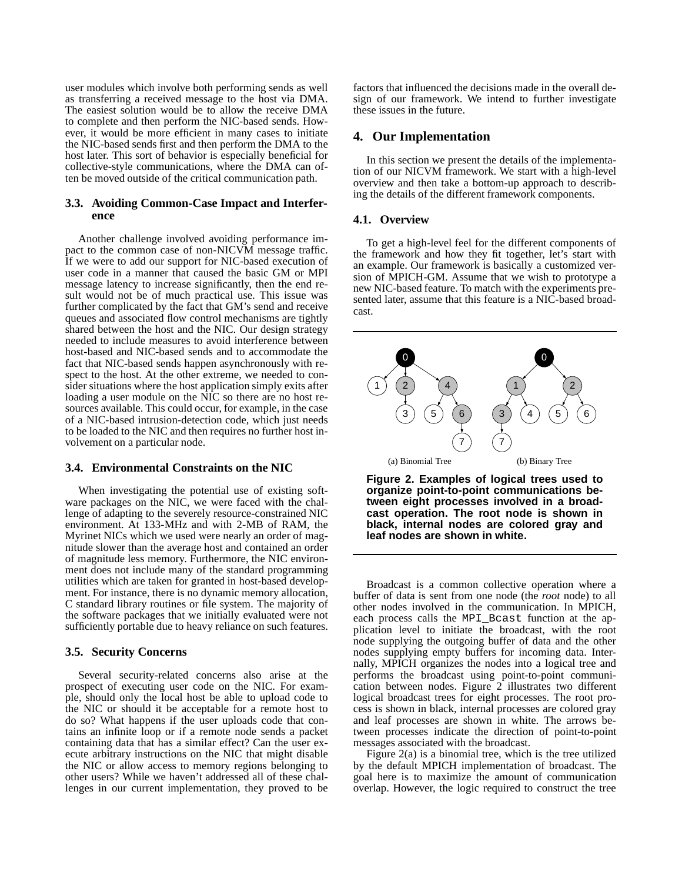user modules which involve both performing sends as well as transferring a received message to the host via DMA. The easiest solution would be to allow the receive DMA to complete and then perform the NIC-based sends. However, it would be more efficient in many cases to initiate the NIC-based sends first and then perform the DMA to the host later. This sort of behavior is especially beneficial for collective-style communications, where the DMA can often be moved outside of the critical communication path.

### **3.3. Avoiding Common-Case Impact and Interference**

Another challenge involved avoiding performance impact to the common case of non-NICVM message traffic. If we were to add our support for NIC-based execution of user code in a manner that caused the basic GM or MPI message latency to increase significantly, then the end result would not be of much practical use. This issue was further complicated by the fact that GM's send and receive queues and associated flow control mechanisms are tightly shared between the host and the NIC. Our design strategy needed to include measures to avoid interference between host-based and NIC-based sends and to accommodate the fact that NIC-based sends happen asynchronously with respect to the host. At the other extreme, we needed to consider situations where the host application simply exits after loading a user module on the NIC so there are no host resources available. This could occur, for example, in the case of a NIC-based intrusion-detection code, which just needs to be loaded to the NIC and then requires no further host involvement on a particular node.

#### **3.4. Environmental Constraints on the NIC**

When investigating the potential use of existing software packages on the NIC, we were faced with the challenge of adapting to the severely resource-constrained NIC environment. At 133-MHz and with 2-MB of RAM, the Myrinet NICs which we used were nearly an order of magnitude slower than the average host and contained an order of magnitude less memory. Furthermore, the NIC environment does not include many of the standard programming utilities which are taken for granted in host-based development. For instance, there is no dynamic memory allocation, C standard library routines or file system. The majority of the software packages that we initially evaluated were not sufficiently portable due to heavy reliance on such features.

### **3.5. Security Concerns**

Several security-related concerns also arise at the prospect of executing user code on the NIC. For example, should only the local host be able to upload code to the NIC or should it be acceptable for a remote host to do so? What happens if the user uploads code that contains an infinite loop or if a remote node sends a packet containing data that has a similar effect? Can the user execute arbitrary instructions on the NIC that might disable the NIC or allow access to memory regions belonging to other users? While we haven't addressed all of these challenges in our current implementation, they proved to be

factors that influenced the decisions made in the overall design of our framework. We intend to further investigate these issues in the future.

# **4. Our Implementation**

In this section we present the details of the implementation of our NICVM framework. We start with a high-level overview and then take a bottom-up approach to describing the details of the different framework components.

#### **4.1. Overview**

To get a high-level feel for the different components of the framework and how they fit together, let's start with an example. Our framework is basically a customized version of MPICH-GM. Assume that we wish to prototype a new NIC-based feature. To match with the experiments presented later, assume that this feature is a NIC-based broadcast.



**Figure 2. Examples of logical trees used to organize point-to-point communications between eight processes involved in a broadcast operation. The root node is shown in black, internal nodes are colored gray and leaf nodes are shown in white.**

Broadcast is a common collective operation where a buffer of data is sent from one node (the *root* node) to all other nodes involved in the communication. In MPICH, each process calls the MPI\_Bcast function at the application level to initiate the broadcast, with the root node supplying the outgoing buffer of data and the other nodes supplying empty buffers for incoming data. Internally, MPICH organizes the nodes into a logical tree and performs the broadcast using point-to-point communication between nodes. Figure  $2$  illustrates two different logical broadcast trees for eight processes. The root process is shown in black, internal processes are colored gray and leaf processes are shown in white. The arrows between processes indicate the direction of point-to-point messages associated with the broadcast.

Figure 2(a) is a binomial tree, which is the tree utilized by the default MPICH implementation of broadcast. The goal here is to maximize the amount of communication overlap. However, the logic required to construct the tree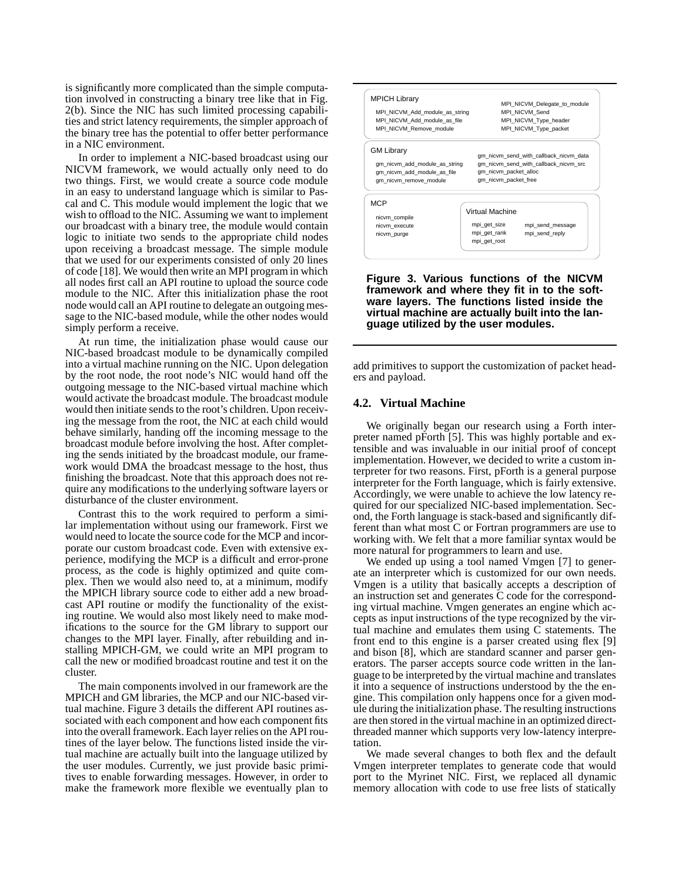is significantly more complicated than the simple computation involved in constructing a binary tree like that in Fig. 2(b). Since the NIC has such limited processing capabilities and strict latency requirements, the simpler approach of the binary tree has the potential to offer better performance in a NIC environment.

In order to implement a NIC-based broadcast using our NICVM framework, we would actually only need to do two things. First, we would create a source code module in an easy to understand language which is similar to Pascal and C. This module would implement the logic that we wish to offload to the NIC. Assuming we want to implement our broadcast with a binary tree, the module would contain logic to initiate two sends to the appropriate child nodes upon receiving a broadcast message. The simple module that we used for our experiments consisted of only 20 lines of code [18]. We would then write an MPI program in which all nodes first call an API routine to upload the source code module to the NIC. After this initialization phase the root node would call an API routine to delegate an outgoing message to the NIC-based module, while the other nodes would simply perform a receive.

At run time, the initialization phase would cause our NIC-based broadcast module to be dynamically compiled into a virtual machine running on the NIC. Upon delegation by the root node, the root node's NIC would hand off the outgoing message to the NIC-based virtual machine which would activate the broadcast module. The broadcast module would then initiate sends to the root's children. Upon receiving the message from the root, the NIC at each child would behave similarly, handing off the incoming message to the broadcast module before involving the host. After completing the sends initiated by the broadcast module, our framework would DMA the broadcast message to the host, thus finishing the broadcast. Note that this approach does not require any modifications to the underlying software layers or disturbance of the cluster environment.

Contrast this to the work required to perform a similar implementation without using our framework. First we would need to locate the source code for the MCP and incorporate our custom broadcast code. Even with extensive experience, modifying the MCP is a difficult and error-prone process, as the code is highly optimized and quite complex. Then we would also need to, at a minimum, modify the MPICH library source code to either add a new broadcast API routine or modify the functionality of the existing routine. We would also most likely need to make modifications to the source for the GM library to support our changes to the MPI layer. Finally, after rebuilding and installing MPICH-GM, we could write an MPI program to call the new or modified broadcast routine and test it on the cluster.

The main componentsinvolved in our framework are the MPICH and GM libraries, the MCP and our NIC-based virtual machine. Figure 3 details the different API routines associated with each component and how each component fits into the overall framework. Each layer relies on the API routines of the layer below. The functions listed inside the virtual machine are actually built into the language utilized by the user modules. Currently, we just provide basic primitives to enable forwarding messages. However, in order to make the framework more flexible we eventually plan to



**Figure 3. Various functions of the NICVM framework and where they fit in to the software layers. The functions listed inside the virtual machine are actually built into the language utilized by the user modules.**

add primitives to support the customization of packet headers and payload.

# **4.2. Virtual Machine**

We originally began our research using a Forth interpreter named pForth [5]. This was highly portable and extensible and was invaluable in our initial proof of concept implementation. However, we decided to write a custom interpreter for two reasons. First, pForth is a general purpose interpreter for the Forth language, which is fairly extensive. Accordingly, we were unable to achieve the low latency required for our specialized NIC-based implementation. Second, the Forth language is stack-based and significantly different than what most C or Fortran programmers are use to working with. We felt that a more familiar syntax would be more natural for programmers to learn and use.

We ended up using a tool named Vmgen [7] to generate an interpreter which is customized for our own needs. Vmgen is a utility that basically accepts a description of an instruction set and generates C code for the corresponding virtual machine. Vmgen generates an engine which accepts as input instructions of the type recognized by the virtual machine and emulates them using C statements. The front end to this engine is a parser created using flex [9] and bison [8], which are standard scanner and parser generators. The parser accepts source code written in the language to be interpreted by the virtual machine and translates it into a sequence of instructions understood by the the engine. This compilation only happens once for a given module during the initialization phase. The resulting instructions are then stored in the virtual machine in an optimized directthreaded manner which supports very low-latency interpretation.

We made several changes to both flex and the default Vmgen interpreter templates to generate code that would port to the Myrinet NIC. First, we replaced all dynamic memory allocation with code to use free lists of statically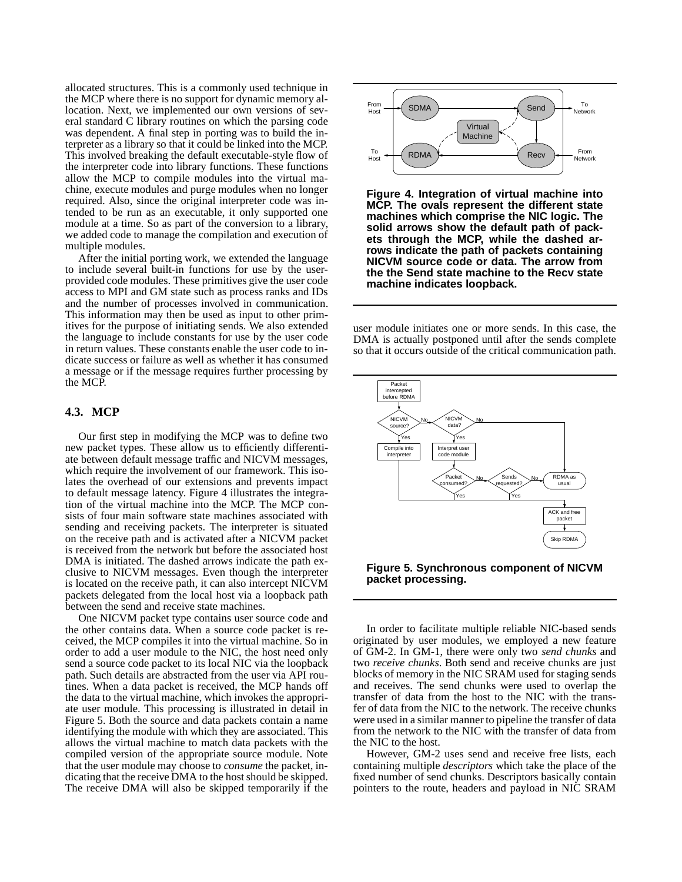allocated structures. This is a commonly used technique in the MCP where there is no support for dynamic memory allocation. Next, we implemented our own versions of several standard C library routines on which the parsing code was dependent. A final step in porting was to build the interpreter as a library so that it could be linked into the MCP. This involved breaking the default executable-style flow of the interpreter code into library functions. These functions allow the MCP to compile modules into the virtual machine, execute modules and purge modules when no longer required. Also, since the original interpreter code was intended to be run as an executable, it only supported one module at a time. So as part of the conversion to a library, we added code to manage the compilation and execution of multiple modules.

After the initial porting work, we extended the language to include several built-in functions for use by the userprovided code modules. These primitives give the user code access to MPI and GM state such as process ranks and IDs and the number of processes involved in communication. This information may then be used as input to other primitives for the purpose of initiating sends. We also extended the language to include constants for use by the user code in return values. These constants enable the user code to indicate success or failure as well as whether it has consumed a message or if the message requires further processing by the MCP.

# **4.3. MCP**

Our first step in modifying the MCP was to define two new packet types. These allow us to efficiently differentiate between default message traffic and NICVM messages, which require the involvement of our framework. This isolates the overhead of our extensions and prevents impact to default message latency. Figure 4 illustrates the integration of the virtual machine into the MCP. The MCP consists of four main software state machines associated with sending and receiving packets. The interpreter is situated on the receive path and is activated after a NICVM packet is received from the network but before the associated host DMA is initiated. The dashed arrows indicate the path exclusive to NICVM messages. Even though the interpreter is located on the receive path, it can also intercept NICVM packets delegated from the local host via a loopback path between the send and receive state machines.

One NICVM packet type contains user source code and the other contains data. When a source code packet is received, the MCP compiles it into the virtual machine. So in order to add a user module to the NIC, the host need only send a source code packet to its local NIC via the loopback path. Such details are abstracted from the user via API routines. When a data packet is received, the MCP hands off the data to the virtual machine, which invokes the appropriate user module. This processing is illustrated in detail in Figure 5. Both the source and data packets contain a name identifying the module with which they are associated. This allows the virtual machine to match data packets with the compiled version of the appropriate source module. Note that the user module may choose to *consume* the packet, indicating that the receive DMA to the host should be skipped. The receive DMA will also be skipped temporarily if the



**Figure 4. Integration of virtual machine into MCP. The ovals represent the different state machines which comprise the NIC logic. The solid arrows show the default path of packets through the MCP, while the dashed arrows indicate the path of packets containing NICVM source code or data. The arrow from the the Send state machine to the Recv state machine indicates loopback.**

user module initiates one or more sends. In this case, the DMA is actually postponed until after the sends complete so that it occurs outside of the critical communication path.



**Figure 5. Synchronous component of NICVM packet processing.**

In order to facilitate multiple reliable NIC-based sends originated by user modules, we employed a new feature of GM-2. In GM-1, there were only two *send chunks* and two *receive chunks*. Both send and receive chunks are just blocks of memory in the NIC SRAM used for staging sends and receives. The send chunks were used to overlap the transfer of data from the host to the NIC with the transfer of data from the NIC to the network. The receive chunks were used in a similar manner to pipeline the transfer of data from the network to the NIC with the transfer of data from the NIC to the host.

However, GM-2 uses send and receive free lists, each containing multiple *descriptors* which take the place of the fixed number of send chunks. Descriptors basically contain pointers to the route, headers and payload in NIC SRAM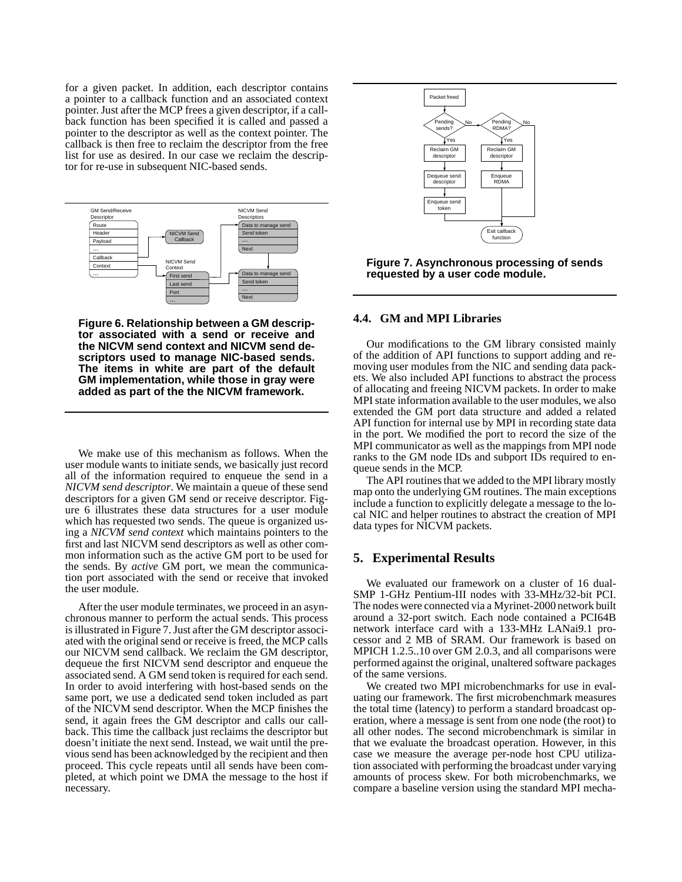for a given packet. In addition, each descriptor contains a pointer to a callback function and an associated context pointer. Just after the MCP frees a given descriptor, if a callback function has been specified it is called and passed a pointer to the descriptor as well as the context pointer. The callback is then free to reclaim the descriptor from the free list for use as desired. In our case we reclaim the descriptor for re-use in subsequent NIC-based sends.



**Figure 6. Relationship between a GM descriptor associated with a send or receive and the NICVM send context and NICVM send descriptors used to manage NIC-based sends. The items in white are part of the default GM implementation, while those in gray were added as part of the the NICVM framework.**

We make use of this mechanism as follows. When the user module wants to initiate sends, we basically just record all of the information required to enqueue the send in a *NICVM send descriptor*. We maintain a queue of these send descriptors for a given GM send or receive descriptor. Figure 6 illustrates these data structures for a user module which has requested two sends. The queue is organized using a *NICVM send context* which maintains pointers to the first and last NICVM send descriptors as well as other common information such as the active GM port to be used for the sends. By *active* GM port, we mean the communication port associated with the send or receive that invoked the user module.

After the user module terminates, we proceed in an asynchronous manner to perform the actual sends. This process is illustrated in Figure 7.Just after the GM descriptor associated with the original send or receive is freed, the MCP calls our NICVM send callback. We reclaim the GM descriptor, dequeue the first NICVM send descriptor and enqueue the associated send. A GM send token is required for each send. In order to avoid interfering with host-based sends on the same port, we use a dedicated send token included as part of the NICVM send descriptor. When the MCP finishes the send, it again frees the GM descriptor and calls our callback. This time the callback just reclaims the descriptor but doesn't initiate the next send. Instead, we wait until the previous send has been acknowledged by the recipient and then proceed. This cycle repeats until all sends have been completed, at which point we DMA the message to the host if necessary.



**Figure 7. Asynchronous processing of sends requested by a user code module.**

# **4.4. GM and MPI Libraries**

Our modifications to the GM library consisted mainly of the addition of API functions to support adding and removing user modules from the NIC and sending data packets. We also included API functions to abstract the process of allocating and freeing NICVM packets. In order to make MPI state information available to the user modules, we also extended the GM port data structure and added a related API function for internal use by MPI in recording state data in the port. We modified the port to record the size of the MPI communicator as well as the mappings from MPI node ranks to the GM node IDs and subport IDs required to enqueue sends in the MCP.

The API routines that we added to the MPI library mostly map onto the underlying GM routines. The main exceptions include a function to explicitly delegate a message to the local NIC and helper routines to abstract the creation of MPI data types for NICVM packets.

# **5. Experimental Results**

We evaluated our framework on a cluster of 16 dual-SMP 1-GHz Pentium-III nodes with 33-MHz/32-bit PCI. The nodes were connected via a Myrinet-2000 network built around a 32-port switch. Each node contained a PCI64B network interface card with a 133-MHz LANai9.1 processor and 2 MB of SRAM. Our framework is based on MPICH 1.2.5..10 over GM 2.0.3, and all comparisons were performed against the original, unaltered software packages of the same versions.

We created two MPI microbenchmarks for use in evaluating our framework. The first microbenchmark measures the total time (latency) to perform a standard broadcast operation, where a message is sent from one node (the root) to all other nodes. The second microbenchmark is similar in that we evaluate the broadcast operation. However, in this case we measure the average per-node host CPU utilization associated with performing the broadcast under varying amounts of process skew. For both microbenchmarks, we compare a baseline version using the standard MPI mecha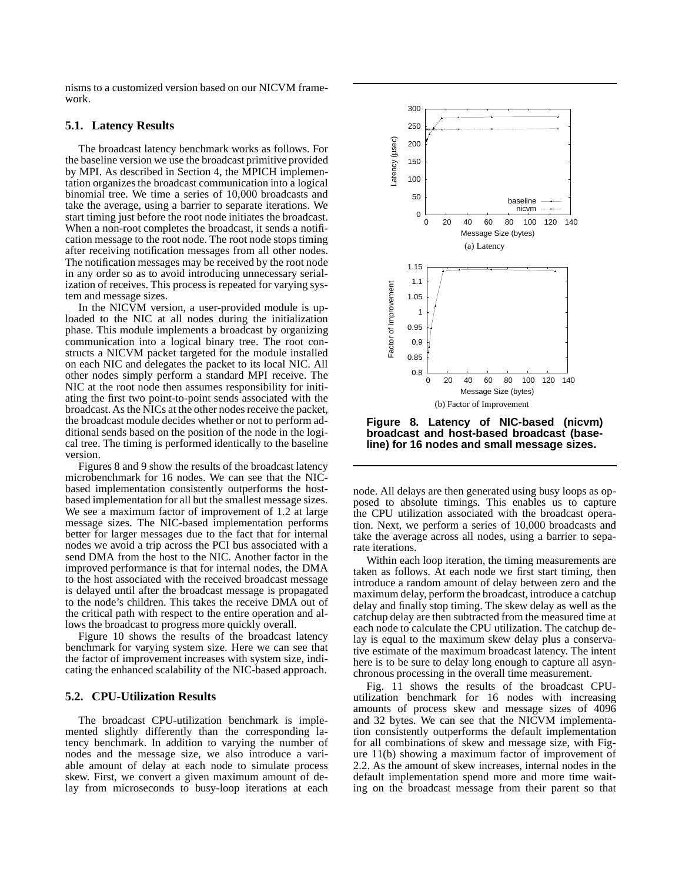nisms to a customized version based on our NICVM framework.

#### **5.1. Latency Results**

The broadcast latency benchmark works as follows. For the baseline version we use the broadcast primitive provided by MPI. As described in Section 4, the MPICH implementation organizes the broadcast communication into a logical binomial tree. We time a series of 10,000 broadcasts and take the average, using a barrier to separate iterations. We start timing just before the root node initiates the broadcast. When a non-root completes the broadcast, it sends a notification message to the root node. The root node stops timing after receiving notification messages from all other nodes. The notification messages may be received by the root node in any order so as to avoid introducing unnecessary serialization of receives. This process is repeated for varying system and message sizes.

In the NICVM version, a user-provided module is uploaded to the NIC at all nodes during the initialization phase. This module implements a broadcast by organizing communication into a logical binary tree. The root constructs a NICVM packet targeted for the module installed on each NIC and delegates the packet to its local NIC. All other nodes simply perform a standard MPI receive. The NIC at the root node then assumes responsibility for initiating the first two point-to-point sends associated with the broadcast. As the NICs at the other nodes receive the packet, the broadcast module decides whether or not to perform additional sends based on the position of the node in the logical tree. The timing is performed identically to the baseline version.

Figures 8 and 9 show the results of the broadcast latency microbenchmark for 16 nodes. We can see that the NICbased implementation consistently outperforms the hostbased implementation for all but the smallest message sizes. We see a maximum factor of improvement of 1.2 at large message sizes. The NIC-based implementation performs better for larger messages due to the fact that for internal nodes we avoid a trip across the PCI bus associated with a send DMA from the host to the NIC. Another factor in the improved performance is that for internal nodes, the DMA to the host associated with the received broadcast message is delayed until after the broadcast message is propagated to the node's children. This takes the receive DMA out of the critical path with respect to the entire operation and allows the broadcast to progress more quickly overall.

Figure 10 shows the results of the broadcast latency benchmark for varying system size. Here we can see that the factor of improvement increases with system size, indicating the enhanced scalability of the NIC-based approach.

# **5.2. CPU-Utilization Results**

The broadcast CPU-utilization benchmark is implemented slightly differently than the corresponding latency benchmark. In addition to varying the number of nodes and the message size, we also introduce a variable amount of delay at each node to simulate process skew. First, we convert a given maximum amount of delay from microseconds to busy-loop iterations at each



**Figure 8. Latency of NIC-based (nicvm) broadcast and host-based broadcast (baseline) for 16 nodes and small message sizes.**

node. All delays are then generated using busy loops as opposed to absolute timings. This enables us to capture the CPU utilization associated with the broadcast operation. Next, we perform a series of 10,000 broadcasts and take the average across all nodes, using a barrier to separate iterations.

Within each loop iteration, the timing measurements are taken as follows. At each node we first start timing, then introduce a random amount of delay between zero and the maximum delay, perform the broadcast, introduce a catchup delay and finally stop timing. The skew delay as well as the catchup delay are then subtracted from the measured time at each node to calculate the CPU utilization. The catchup delay is equal to the maximum skew delay plus a conservative estimate of the maximum broadcast latency. The intent here is to be sure to delay long enough to capture all asynchronous processing in the overall time measurement.

Fig. 11 shows the results of the broadcast CPUutilization benchmark for 16 nodes with increasing amounts of process skew and message sizes of 4096 and 32 bytes. We can see that the NICVM implementation consistently outperforms the default implementation for all combinations of skew and message size, with Figure 11(b) showing a maximum factor of improvement of 2.2. As the amount of skew increases, internal nodes in the default implementation spend more and more time waiting on the broadcast message from their parent so that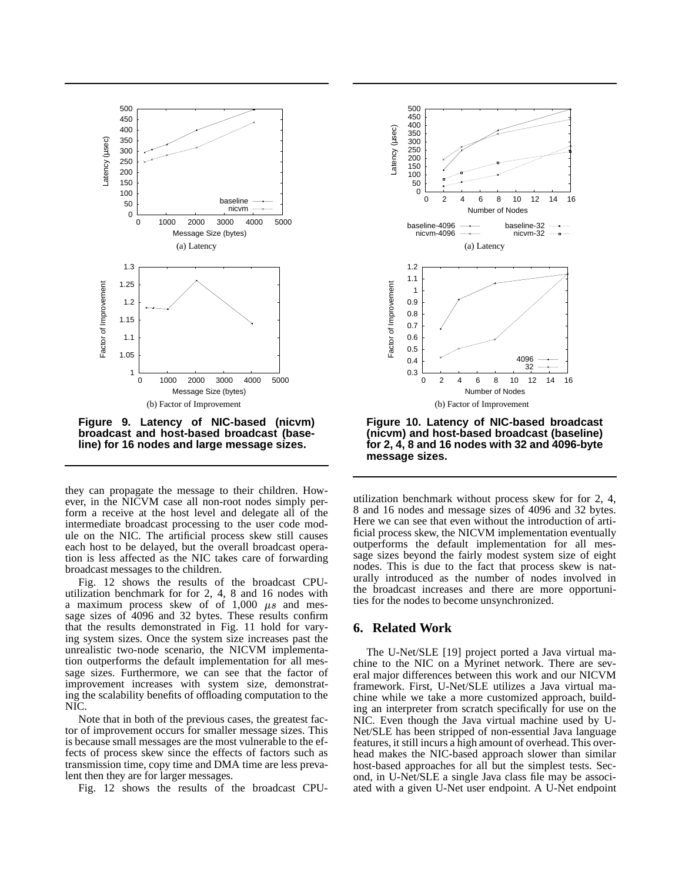

**Figure 9. Latency of NIC-based (nicvm) broadcast and host-based broadcast (baseline) for 16 nodes and large message sizes.**

they can propagate the message to their children. However, in the NICVM case all non-root nodes simply perform a receive at the host level and delegate all of the intermediate broadcast processing to the user code module on the NIC. The artificial process skew still causes each host to be delayed, but the overall broadcast operation is less affected as the NIC takes care of forwarding broadcast messages to the children.

Fig. 12 shows the results of the broadcast CPUutilization benchmark for for 2, 4, 8 and 16 nodes with a maximum process skew of of  $1,000 \mu s$  and message sizes of 4096 and 32 bytes. These results confirm that the results demonstrated in Fig. 11 hold for varying system sizes. Once the system size increases past the unrealistic two-node scenario, the NICVM implementation outperforms the default implementation for all message sizes. Furthermore, we can see that the factor of improvement increases with system size, demonstrating the scalability benefits of offloading computation to the NIC.

Note that in both of the previous cases, the greatest factor of improvement occurs for smaller message sizes. This is because small messages are the most vulnerable to the effects of process skew since the effects of factors such as transmission time, copy time and DMA time are less prevalent then they are for larger messages.

Fig. 12 shows the results of the broadcast CPU-



**Figure 10. Latency of NIC-based broadcast (nicvm) and host-based broadcast (baseline) for 2, 4, 8 and 16 nodes with 32 and 4096-byte message sizes.**

utilization benchmark without process skew for for 2, 4, 8 and 16 nodes and message sizes of 4096 and 32 bytes. Here we can see that even without the introduction of artificial process skew, the NICVM implementation eventually outperforms the default implementation for all message sizes beyond the fairly modest system size of eight nodes. This is due to the fact that process skew is naturally introduced as the number of nodes involved in the broadcast increases and there are more opportunities for the nodes to become unsynchronized.

#### **6. Related Work**

The U-Net/SLE [19] project ported a Java virtual machine to the NIC on a Myrinet network. There are several major differences between this work and our NICVM framework. First, U-Net/SLE utilizes a Java virtual machine while we take a more customized approach, building an interpreter from scratch specifically for use on the NIC. Even though the Java virtual machine used by U-Net/SLE has been stripped of non-essential Java language features, it still incurs a high amount of overhead. This overhead makes the NIC-based approach slower than similar host-based approaches for all but the simplest tests. Second, in U-Net/SLE a single Java class file may be associated with a given U-Net user endpoint. A U-Net endpoint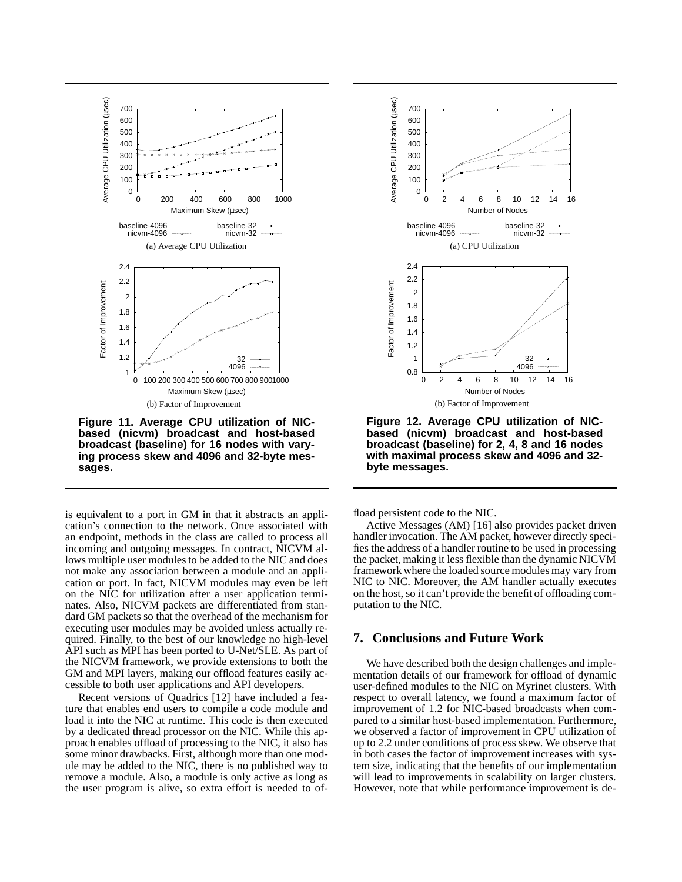

**Figure 11. Average CPU utilization of NICbased (nicvm) broadcast and host-based broadcast (baseline) for 16 nodes with varying process skew and 4096 and 32-byte messages.**

is equivalent to a port in GM in that it abstracts an application's connection to the network. Once associated with an endpoint, methods in the class are called to process all incoming and outgoing messages. In contract, NICVM allows multiple user modules to be added to the NIC and does not make any association between a module and an application or port. In fact, NICVM modules may even be left on the NIC for utilization after a user application terminates. Also, NICVM packets are differentiated from standard GM packets so that the overhead of the mechanism for executing user modules may be avoided unless actually required. Finally, to the best of our knowledge no high-level API such as MPI has been ported to U-Net/SLE. As part of the NICVM framework, we provide extensions to both the GM and MPI layers, making our offload features easily accessible to both user applications and API developers.

Recent versions of Quadrics [12] have included a feature that enables end users to compile a code module and load it into the NIC at runtime. This code is then executed by a dedicated thread processor on the NIC. While this approach enables offload of processing to the NIC, it also has some minor drawbacks. First, although more than one module may be added to the NIC, there is no published way to remove a module. Also, a module is only active as long as the user program is alive, so extra effort is needed to of-



**Figure 12. Average CPU utilization of NICbased (nicvm) broadcast and host-based broadcast (baseline) for 2, 4, 8 and 16 nodes with maximal process skew and 4096 and 32 byte messages.**

fload persistent code to the NIC.

Active Messages (AM) [16] also provides packet driven handler invocation. The AM packet, however directly specifies the address of a handler routine to be used in processing the packet, making it less flexible than the dynamic NICVM framework where the loaded source modules may vary from NIC to NIC. Moreover, the AM handler actually executes on the host, so it can't provide the benefit of offloading computation to the NIC.

# **7. Conclusions and Future Work**

We have described both the design challenges and implementation details of our framework for offload of dynamic user-defined modules to the NIC on Myrinet clusters. With respect to overall latency, we found a maximum factor of improvement of 1.2 for NIC-based broadcasts when compared to a similar host-based implementation. Furthermore, we observed a factor of improvement in CPU utilization of up to 2.2 under conditions of process skew. We observe that in both cases the factor of improvement increases with system size, indicating that the benefits of our implementation will lead to improvements in scalability on larger clusters. However, note that while performance improvement is de-